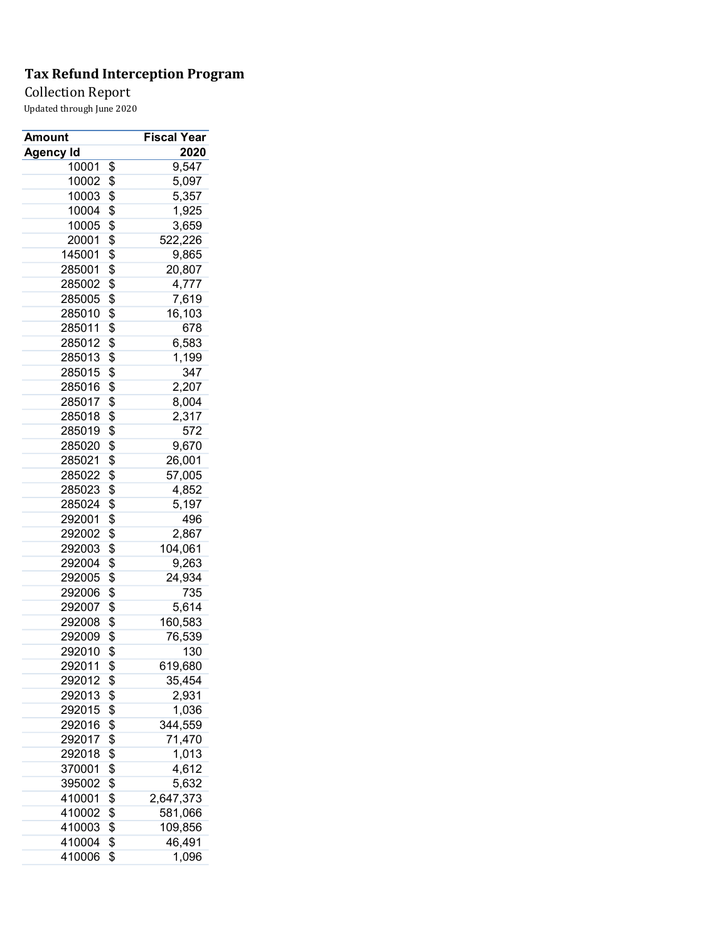### Collection Report

| <b>Amount</b> | Fiscal Year     |
|---------------|-----------------|
| Agency Id     | 2020            |
| 10001         | \$<br>9,547     |
| 10002         | \$<br>5,097     |
| 10003         | \$<br>5,357     |
| 10004         | \$<br>1,925     |
| 10005         | \$<br>3,659     |
| 20001         | \$<br>522,226   |
| 145001        | \$<br>9,865     |
| 285001        | \$<br>20,807    |
| 285002        | \$<br>4,777     |
| 285005        | \$<br>7,619     |
| 285010        | \$<br>16,103    |
| 285011        | \$<br>678       |
| 285012        | \$<br>6,583     |
| 285013        | \$<br>1,199     |
| 285015        | \$<br>347       |
| 285016        | \$<br>2,207     |
| 285017        | \$<br>8,004     |
| 285018        | \$<br>2,317     |
| 285019        | \$<br>572       |
| 285020        | \$<br>9,670     |
| 285021        | \$<br>26,001    |
| 285022        | \$<br>57,005    |
| 285023        | \$<br>4,852     |
|               | \$              |
| 285024        | 5,197           |
| 292001        | \$<br>496       |
| 292002        | \$<br>2,867     |
| 292003        | \$<br>104,061   |
| 292004        | \$<br>9,263     |
| 292005        | \$<br>24,934    |
| 292006        | \$<br>735       |
| 292007        | \$<br>5,614     |
| 292008        | \$<br>160,583   |
| 292009        | \$<br>76,539    |
| 292010        | \$<br>130       |
| 292011        | \$<br>619,680   |
| 292012        | \$<br>35,454    |
| 292013        | \$<br>2,931     |
| 292015        | \$<br>1,036     |
| 292016        | \$<br>344,559   |
| 292017        | \$<br>71,470    |
| 292018        | \$<br>1,013     |
| 370001        | \$<br>4,612     |
| 395002        | \$<br>5,632     |
| 410001        | \$<br>2,647,373 |
| 410002        | \$<br>581,066   |
| 410003        | \$<br>109,856   |
| 410004        | \$<br>46,491    |
| 410006        | \$<br>1,096     |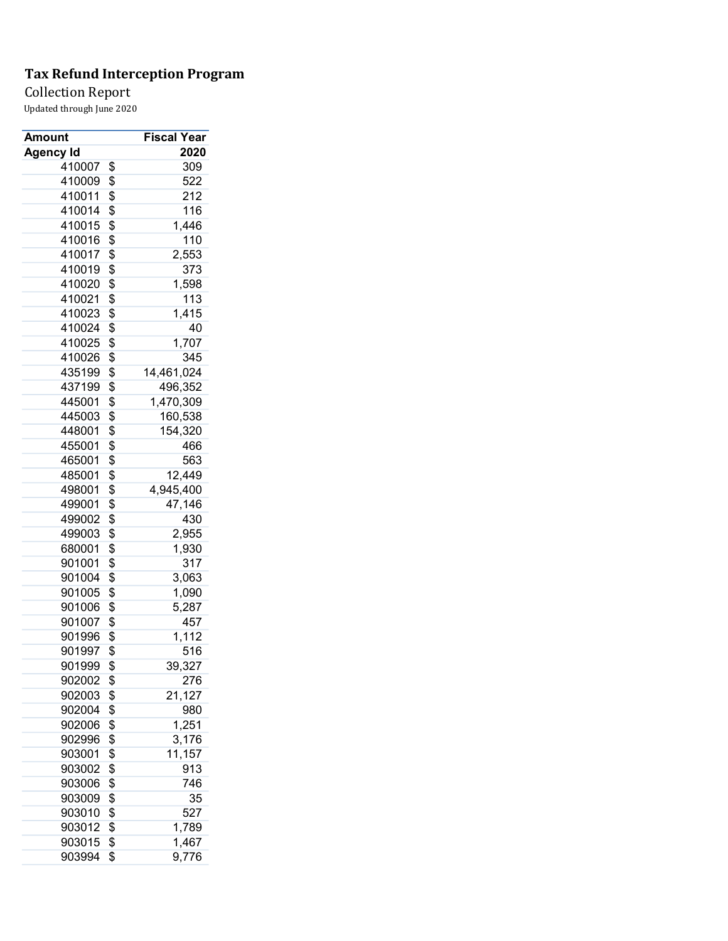Collection Report

|          | <b>Fiscal Year</b>                                                                                                                                                                     |
|----------|----------------------------------------------------------------------------------------------------------------------------------------------------------------------------------------|
|          | 2020                                                                                                                                                                                   |
| \$       | 309                                                                                                                                                                                    |
| \$       | 522                                                                                                                                                                                    |
| \$       | 212                                                                                                                                                                                    |
| \$       | 116                                                                                                                                                                                    |
| \$       | 1,446                                                                                                                                                                                  |
| \$       | 110                                                                                                                                                                                    |
| \$       | 2,553                                                                                                                                                                                  |
| \$       | 373                                                                                                                                                                                    |
| \$       | 1,598                                                                                                                                                                                  |
| \$       | 113                                                                                                                                                                                    |
| \$       | 1,415                                                                                                                                                                                  |
| \$       | 40                                                                                                                                                                                     |
| \$       | 1,707                                                                                                                                                                                  |
|          | 345                                                                                                                                                                                    |
|          | 14,461,024                                                                                                                                                                             |
|          | 496,352                                                                                                                                                                                |
|          | 1,470,309                                                                                                                                                                              |
|          | 160,538                                                                                                                                                                                |
|          | 154,320                                                                                                                                                                                |
|          | 466                                                                                                                                                                                    |
|          | 563                                                                                                                                                                                    |
|          | 12,449                                                                                                                                                                                 |
|          | 4,945,400                                                                                                                                                                              |
|          | 47,146                                                                                                                                                                                 |
|          | 430                                                                                                                                                                                    |
|          | 2,955                                                                                                                                                                                  |
|          | 1,930                                                                                                                                                                                  |
|          | 317                                                                                                                                                                                    |
|          | 3,063                                                                                                                                                                                  |
|          | 1,090                                                                                                                                                                                  |
|          | 5,287                                                                                                                                                                                  |
|          | 457                                                                                                                                                                                    |
|          | 1,112                                                                                                                                                                                  |
|          | 516                                                                                                                                                                                    |
|          | 39,327                                                                                                                                                                                 |
|          | 276                                                                                                                                                                                    |
|          | 21,127                                                                                                                                                                                 |
|          | 980                                                                                                                                                                                    |
|          | 1,251                                                                                                                                                                                  |
|          | 3,176                                                                                                                                                                                  |
|          | 11,157                                                                                                                                                                                 |
|          | 913                                                                                                                                                                                    |
|          | 746                                                                                                                                                                                    |
|          | 35                                                                                                                                                                                     |
| \$       | 527                                                                                                                                                                                    |
|          |                                                                                                                                                                                        |
|          |                                                                                                                                                                                        |
| \$<br>\$ | 1,789<br>1,467                                                                                                                                                                         |
|          | \$<br>\$<br>\$<br>\$<br>\$<br>\$<br>\$<br>\$<br>\$<br>\$<br>\$<br>\$<br>\$<br>\$<br>\$<br>\$<br>\$<br>\$<br>\$<br>\$<br>\$<br>\$<br>\$<br>\$<br>\$<br>\$<br>\$<br>\$<br>\$<br>\$<br>\$ |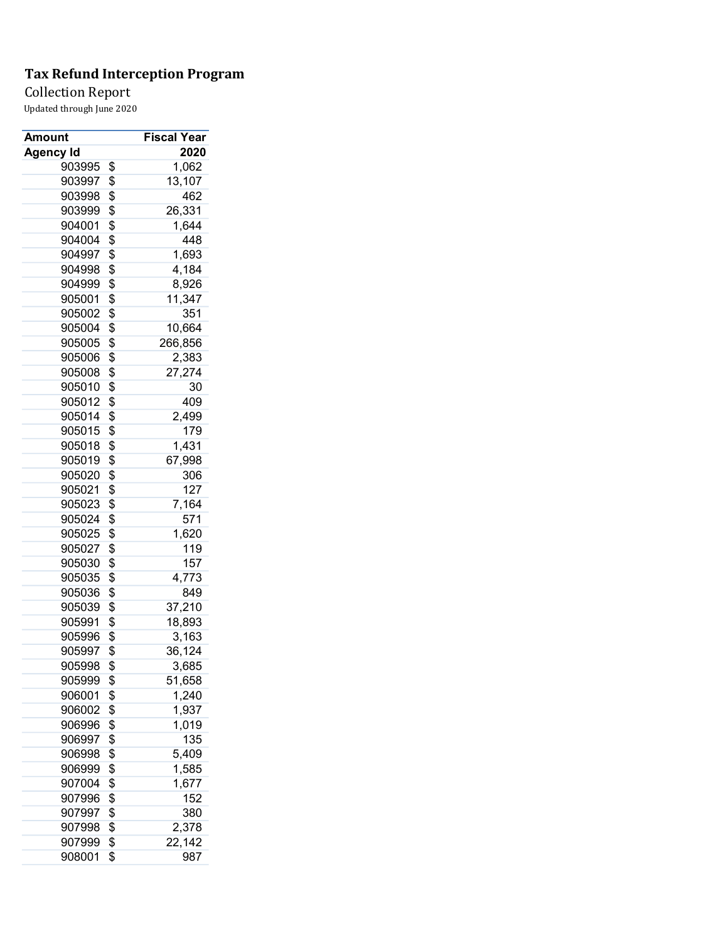Collection Report

| Amount           | Fiscal Year   |
|------------------|---------------|
| <b>Agency Id</b> | 2020          |
| 903995           | \$<br>1,062   |
| 903997           | \$<br>13,107  |
| 903998           | \$<br>462     |
| 903999           | \$<br>26,331  |
| 904001           | \$<br>1,644   |
| 904004           | \$<br>448     |
| 904997           | \$<br>1,693   |
| 904998           | \$<br>4,184   |
| 904999           | \$<br>8,926   |
| 905001           | \$<br>11,347  |
| 905002           | \$<br>351     |
| 905004           | \$<br>10,664  |
| 905005           | \$<br>266,856 |
| 905006           | \$<br>2,383   |
| 905008           | \$<br>27,274  |
| 905010           | \$<br>30      |
| 905012           | \$<br>409     |
| 905014           | \$<br>2,499   |
|                  |               |
| 905015           | \$<br>179     |
| 905018           | \$<br>1,431   |
| 905019           | \$<br>67,998  |
| 905020           | \$<br>306     |
| 905021           | \$<br>127     |
| 905023           | \$<br>7,164   |
| 905024           | \$<br>571     |
| 905025           | \$<br>1,620   |
| 905027           | \$<br>119     |
| 905030           | \$<br>157     |
| 905035           | \$<br>4,773   |
| 905036           | \$<br>849     |
| 905039           | \$<br>37,210  |
| 905991           | \$<br>18,893  |
| 905996           | \$<br>3,163   |
| 905997           | \$<br>36,124  |
| 905998           | \$<br>3,685   |
| 905999           | \$<br>51,658  |
| 906001           | \$<br>1,240   |
| 906002           | \$<br>1,937   |
| 906996           | \$<br>1,019   |
| 906997           | \$<br>135     |
| 906998           | \$<br>5,409   |
| 906999           | \$<br>1,585   |
| 907004           | \$<br>1,677   |
| 907996           | \$<br>152     |
| 907997           | \$<br>380     |
| 907998           | \$<br>2,378   |
| 907999           | \$<br>22,142  |
| 908001           | \$<br>987     |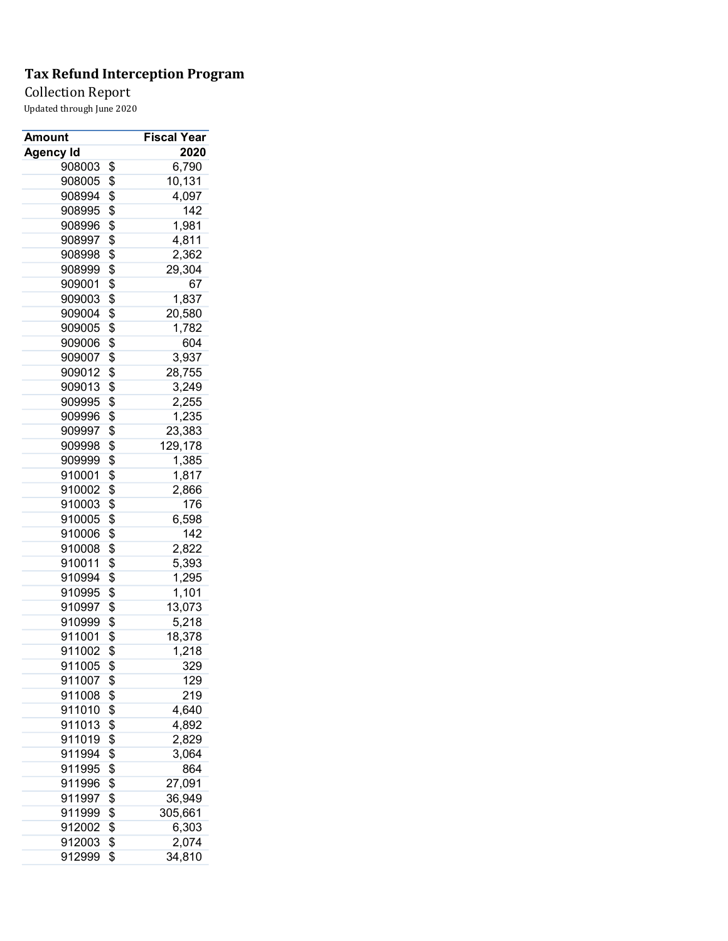Collection Report

| Amount           | <b>Fiscal Year</b> |
|------------------|--------------------|
| <b>Agency Id</b> | 2020               |
| 908003           | \$<br>6,790        |
| 908005           | \$<br>10,131       |
| 908994           | \$<br>4,097        |
| 908995           | \$<br>142          |
| 908996           | \$<br>1,981        |
| 908997           | \$<br>4,811        |
| 908998           | \$<br>2,362        |
| 908999           | \$<br>29,304       |
| 909001           | \$<br>67           |
| 909003           | \$<br>1,837        |
| 909004           | \$<br>20,580       |
| 909005           | \$<br>1,782        |
| 909006           | \$<br>604          |
| 909007           | \$<br>3,937        |
| 909012           | \$<br>28,755       |
| 909013           | \$<br>3,249        |
| 909995           | \$<br>2,255        |
| 909996           | \$<br>1,235        |
| 909997           | \$<br>23,383       |
| 909998           | \$<br>129,178      |
| 909999           | \$<br>1,385        |
| 910001           | \$<br>1,817        |
| 910002           | \$<br>2,866        |
| 910003           | \$<br>176          |
| 910005           | \$<br>6,598        |
| 910006           | \$<br>142          |
| 910008           | \$<br>2,822        |
| 910011           | \$<br>5,393        |
| 910994           | \$<br>1,295        |
| 910995           | \$<br>1,101        |
| 910997           | \$<br>13,073       |
| 910999           | \$<br>5,218        |
| 911001           | \$<br>18,378       |
| 911002           | \$<br>1,218        |
| 911005           | \$<br>329          |
| 911007           | \$<br>129          |
| 911008           | \$<br>219          |
|                  |                    |
| 911010           | \$<br>4,640        |
| 911013           | \$<br>4,892        |
| 911019           | \$<br>2,829        |
| 911994           | \$<br>3,064        |
| 911995           | \$<br>864          |
| 911996           | \$<br>27,091       |
| 911997           | \$<br>36,949       |
| 911999           | \$<br>305,661      |
| 912002           | \$<br>6,303        |
| 912003           | \$<br>2,074        |
| 912999           | \$<br>34,810       |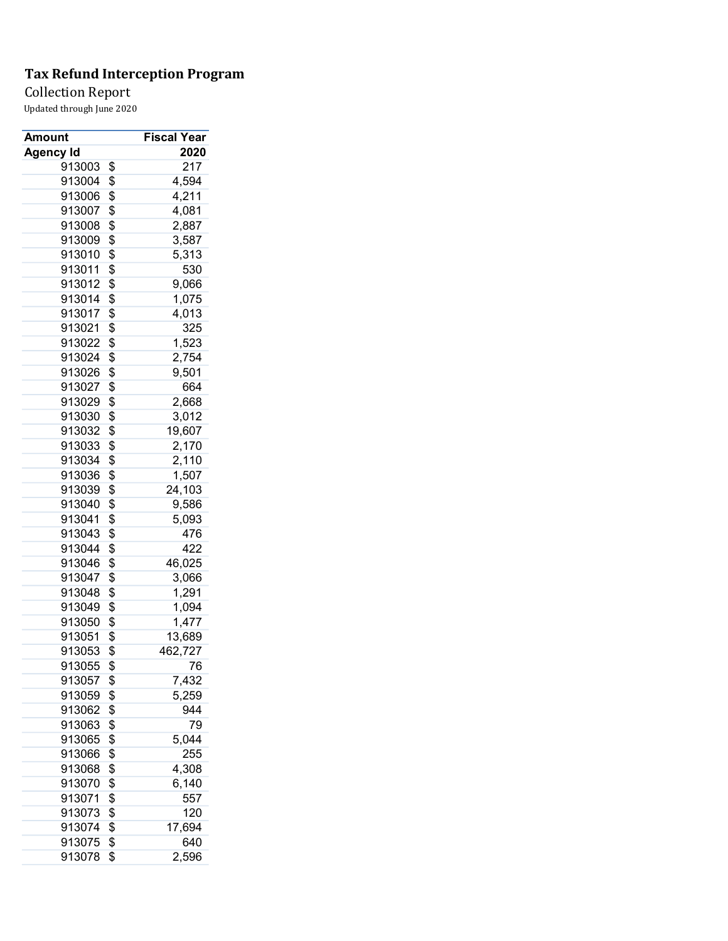Collection Report

| Amount           | Fiscal Year   |
|------------------|---------------|
| <b>Agency Id</b> | 2020          |
| 913003           | \$<br>217     |
| 913004           | \$<br>4,594   |
| 913006           | \$<br>4,211   |
| 913007           | \$<br>4,081   |
| 913008           | \$<br>2,887   |
| 913009           | \$<br>3,587   |
| 913010           | \$<br>5,313   |
| 913011           | \$<br>530     |
| 913012           | \$<br>9,066   |
| 913014           | \$<br>1,075   |
| 913017           | \$<br>4,013   |
| 913021           | \$<br>325     |
| 913022           | \$<br>1,523   |
| 913024           | \$<br>2,754   |
| 913026           | \$<br>9,501   |
| 913027           | \$<br>664     |
| 913029           | \$<br>2,668   |
| 913030           | \$<br>3,012   |
| 913032           | \$<br>19,607  |
| 913033           | \$<br>2,170   |
| 913034           | \$<br>2,110   |
| 913036           | \$<br>1,507   |
| 913039           | \$<br>24,103  |
| 913040           | \$<br>9,586   |
| 913041           | \$<br>5,093   |
| 913043           | \$<br>476     |
| 913044           | \$<br>422     |
| 913046           | \$<br>46,025  |
| 913047           | \$<br>3,066   |
| 913048           | \$<br>1,291   |
| 913049           | \$<br>1,094   |
| 913050           | \$<br>1,477   |
| 913051           | \$<br>13,689  |
| 913053           | \$<br>462,727 |
| 913055           | \$<br>76      |
| 913057           | \$<br>7,432   |
| 913059           | \$<br>5,259   |
| 913062           | 944           |
|                  | \$<br>79      |
| 913063           | \$            |
| 913065           | \$<br>5,044   |
| 913066           | \$<br>255     |
| 913068           | \$<br>4,308   |
| 913070           | \$<br>6,140   |
| 913071           | \$<br>557     |
| 913073           | \$<br>120     |
| 913074           | \$<br>17,694  |
| 913075           | \$<br>640     |
| 913078           | \$<br>2,596   |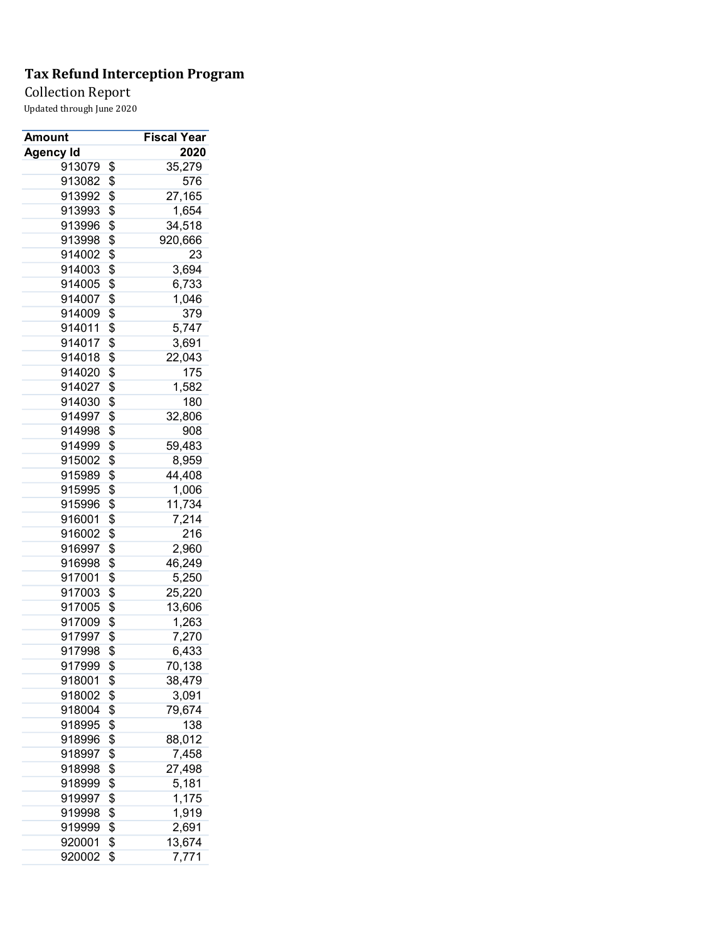Collection Report

| Amount           | <b>Fiscal Year</b> |
|------------------|--------------------|
| <b>Agency Id</b> | 2020               |
| 913079           | \$<br>35,279       |
| 913082           | \$<br>576          |
| 913992           | \$<br>27,165       |
| 913993           | \$<br>1,654        |
| 913996           | \$<br>34,518       |
| 913998           | \$<br>920,666      |
| 914002           | \$<br>23           |
| 914003           | \$<br>3,694        |
| 914005           | \$<br>6,733        |
| 914007           | \$<br>1,046        |
| 914009           | \$<br>379          |
| 914011           | \$<br>5,747        |
| 914017           | \$<br>3,691        |
| 914018           | \$<br>22,043       |
| 914020           | \$<br>175          |
| 914027           | \$<br>1,582        |
| 914030           | \$<br>180          |
| 914997           | \$<br>32,806       |
| 914998           | \$<br>908          |
| 914999           | \$<br>59,483       |
| 915002           | \$<br>8,959        |
| 915989           | \$<br>44,408       |
| 915995           | \$<br>1,006        |
| 915996           | \$<br>11,734       |
| 916001           | \$<br>7,214        |
| 916002           | \$<br>216          |
| 916997           | \$<br>2,960        |
| 916998           | \$<br>46,249       |
| 917001           | \$<br>5,250        |
| 917003           | \$<br>25,220       |
| 917005           | \$<br>13,606       |
| 917009           | \$<br>1,263        |
| 917997           | \$<br>7,270        |
| 917998           | \$<br>6,433        |
| 917999           | \$<br>70,138       |
| 918001           | \$<br>38,479       |
| 918002           | \$<br>3,091        |
| 918004           | \$<br>79,674       |
| 918995           | \$<br>138          |
| 918996           | \$<br>88,012       |
| 918997           | \$<br>7,458        |
| 918998           | \$<br>27,498       |
| 918999           | \$<br>5,181        |
| 919997           | \$<br>1,175        |
| 919998           | \$<br>1,919        |
| 919999           | \$<br>2,691        |
| 920001           | \$<br>13,674       |
| 920002           | \$<br>7,771        |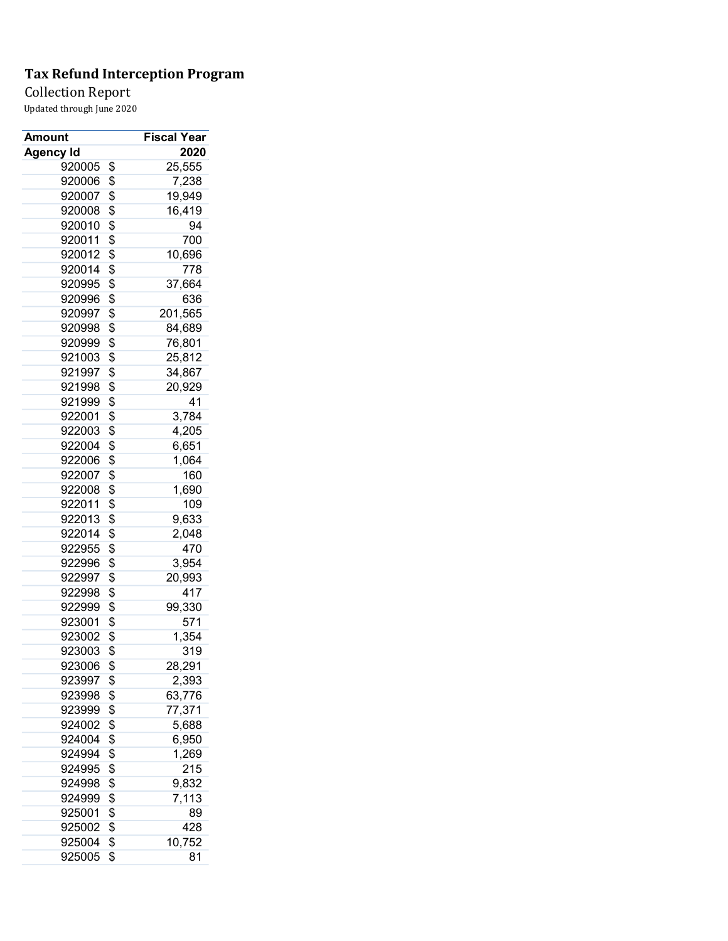### Collection Report

| Amount           | <b>Fiscal Year</b> |
|------------------|--------------------|
| <b>Agency Id</b> | 2020               |
| 920005           | \$<br>25,555       |
| 920006           | \$<br>7,238        |
| 920007           | \$<br>19,949       |
| 920008           | \$<br>16,419       |
| 920010           | \$<br>94           |
| 920011           | \$<br>700          |
| 920012           | \$<br>10,696       |
| 920014           | \$<br>778          |
| 920995           | \$<br>37,664       |
| 920996           | \$<br>636          |
| 920997           | \$<br>201,565      |
| 920998           | \$<br>84,689       |
| 920999           | \$<br>76,801       |
| 921003           | \$<br>25,812       |
| 921997           | \$<br>34,867       |
| 921998           | \$<br>20,929       |
| 921999           | \$<br>41           |
| 922001           | \$<br>3,784        |
| 922003           | \$<br>4,205        |
| 922004           | \$<br>6,651        |
| 922006           | \$<br>1,064        |
| 922007           | \$<br>160          |
| 922008           | \$<br>1,690        |
| 922011           | \$<br>109          |
| 922013           | \$<br>9,633        |
| 922014           | \$<br>2,048        |
| 922955           | \$<br>470          |
| 922996           | \$<br>3,954        |
| 922997           | \$<br>20,993       |
| 922998           | \$<br>417          |
| 922999           | \$<br>99,330       |
| 923001           | \$<br>571          |
| 923002           | \$<br>1,354        |
| 923003           | \$<br>319          |
| 923006           | \$<br>28,291       |
| 923997           | \$<br>2,393        |
| 923998           | \$<br>63,776       |
| 923999           | \$<br>77,371       |
| 924002           | \$<br>5,688        |
| 924004           | \$<br>6,950        |
| 924994           | \$<br>1,269        |
| 924995           | \$<br>215          |
| 924998           | \$<br>9,832        |
| 924999           | \$<br>7,113        |
| 925001           | \$<br>89           |
| 925002           | \$<br>428          |
| 925004           | \$<br>10,752       |
| 925005           | \$<br>81           |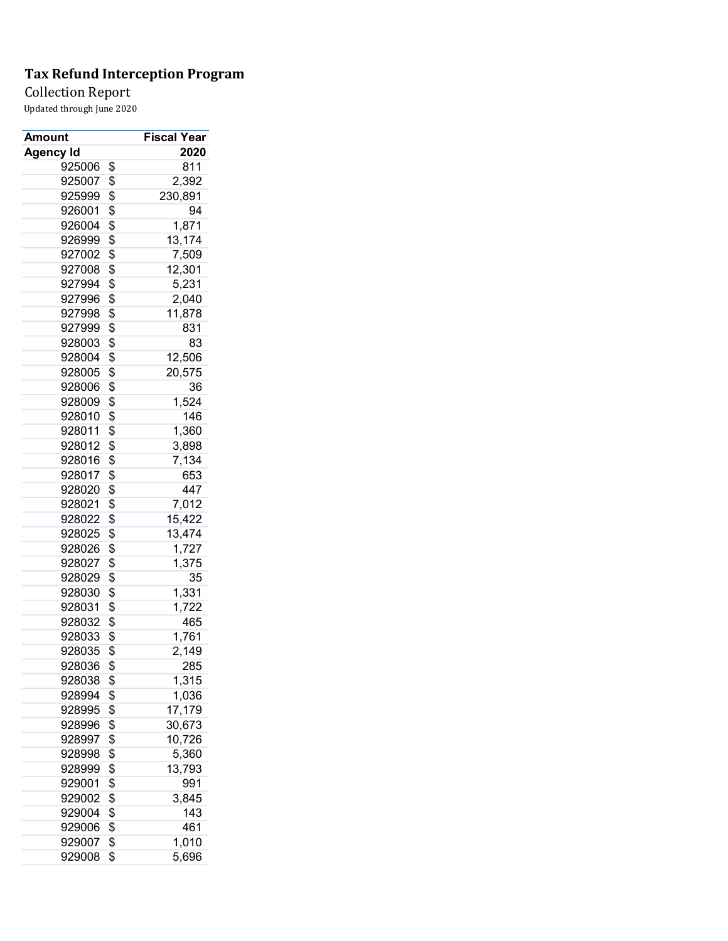Collection Report

| Amount           | Fiscal Year   |
|------------------|---------------|
| <b>Agency Id</b> | 2020          |
| 925006           | \$<br>811     |
| 925007           | \$<br>2,392   |
| 925999           | \$<br>230,891 |
| 926001           | \$<br>94      |
| 926004           | \$<br>1,871   |
| 926999           | \$<br>13,174  |
| 927002           | \$<br>7,509   |
| 927008           | \$<br>12,301  |
| 927994           | \$<br>5,231   |
| 927996           | \$<br>2,040   |
| 927998           | \$<br>11,878  |
| 927999           | \$<br>831     |
| 928003           | \$<br>83      |
| 928004           | \$<br>12,506  |
| 928005           | \$<br>20,575  |
| 928006           | \$<br>36      |
| 928009           | \$<br>1,524   |
| 928010           | \$<br>146     |
| 928011           | \$<br>1,360   |
| 928012           | \$<br>3,898   |
| 928016           | \$<br>7,134   |
| 928017           | \$<br>653     |
| 928020           | \$<br>447     |
| 928021           | \$<br>7,012   |
| 928022           | \$<br>15,422  |
| 928025           | \$<br>13,474  |
| 928026           | \$<br>1,727   |
| 928027           | \$<br>1,375   |
| 928029           | \$<br>35      |
| 928030           | \$<br>1,331   |
| 928031           | \$<br>1,722   |
| 928032           | \$<br>465     |
| 928033           | \$<br>1,761   |
| 928035           | \$<br>2,149   |
| 928036           | \$<br>285     |
| 928038           | \$<br>1,315   |
| 928994           | \$<br>1,036   |
| 928995           | \$<br>17,179  |
| 928996           | \$<br>30,673  |
| 928997           | \$<br>10,726  |
| 928998           | \$<br>5,360   |
| 928999           | \$<br>13,793  |
| 929001           | \$<br>991     |
| 929002           | \$<br>3,845   |
| 929004           | \$<br>143     |
| 929006           | \$<br>461     |
| 929007           | \$<br>1,010   |
| 929008           | \$<br>5,696   |
|                  |               |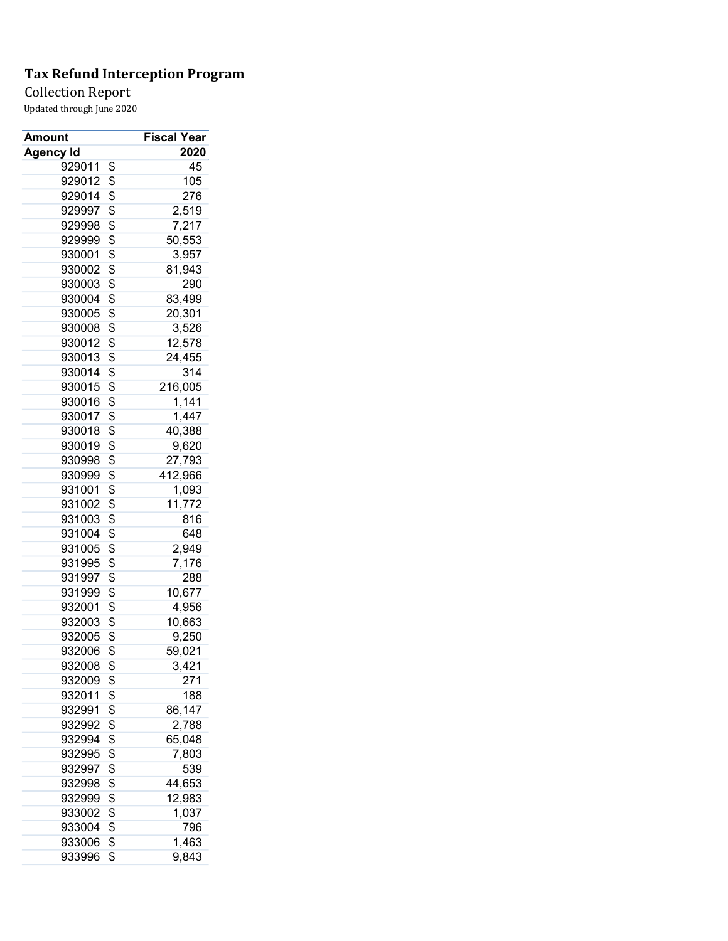Collection Report

| Amount           | <b>Fiscal Year</b> |
|------------------|--------------------|
| <b>Agency Id</b> | 2020               |
| 929011           | \$<br>45           |
| 929012           | \$<br>105          |
| 929014           | \$<br>276          |
| 929997           | \$<br>2,519        |
| 929998           | \$<br>7,217        |
| 929999           | \$<br>50,553       |
| 930001           | \$<br>3,957        |
| 930002           | \$<br>81,943       |
| 930003           | \$<br>290          |
| 930004           | \$<br>83,499       |
| 930005           | \$<br>20,301       |
| 930008           | \$<br>3,526        |
| 930012           | \$<br>12,578       |
| 930013           | \$<br>24,455       |
| 930014           | \$<br>314          |
| 930015           | \$<br>216,005      |
| 930016           | \$<br>1,141        |
| 930017           | \$<br>1,447        |
| 930018           | \$<br>40,388       |
| 930019           | \$<br>9,620        |
| 930998           | \$<br>27,793       |
| 930999           | \$<br>412,966      |
| 931001           | \$<br>1,093        |
| 931002           | \$<br>11,772       |
| 931003           | \$<br>816          |
| 931004           | \$<br>648          |
| 931005           | \$<br>2,949        |
| 931995           | \$<br>7,176        |
| 931997           | \$<br>288          |
| 931999           | \$<br>10,677       |
| 932001           | \$<br>4,956        |
| 932003           | \$<br>10,663       |
| 932005           | \$<br>9,250        |
| 932006           | \$<br>59,021       |
| 932008           | \$<br>3,421        |
| 932009           | \$<br>271          |
| 932011           | \$<br>188          |
| 932991           | \$<br>86,147       |
| 932992           | \$<br>2,788        |
| 932994           | \$<br>65,048       |
| 932995           | \$<br>7,803        |
| 932997           | \$<br>539          |
| 932998           | \$<br>44,653       |
| 932999           | \$<br>12,983       |
| 933002           | \$<br>1,037        |
| 933004           | \$<br>796          |
| 933006           | \$<br>1,463        |
| 933996           | \$<br>9,843        |
|                  |                    |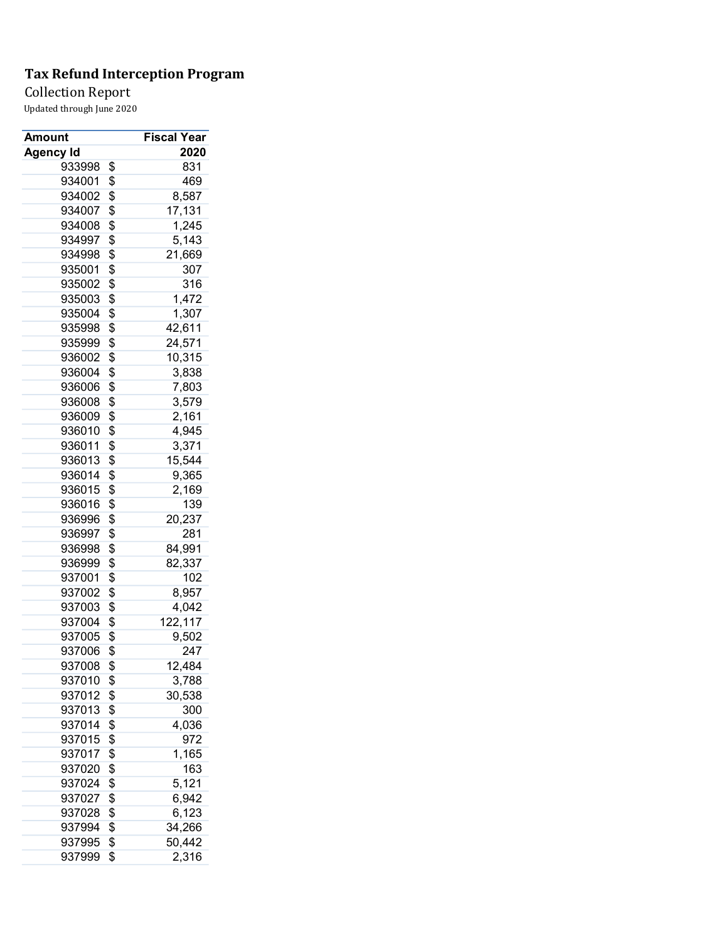Collection Report

| Amount           | <b>Fiscal Year</b> |
|------------------|--------------------|
| <b>Agency Id</b> | 2020               |
| 933998           | \$<br>831          |
| 934001           | \$<br>469          |
| 934002           | \$<br>8,587        |
| 934007           | \$<br>17,131       |
| 934008           | \$<br>1,245        |
| 934997           | \$<br>5,143        |
| 934998           | \$<br>21,669       |
| 935001           | \$<br>307          |
| 935002           | \$<br>316          |
| 935003           | \$<br>1,472        |
| 935004           | \$<br>1,307        |
| 935998           | \$<br>42,611       |
| 935999           | \$<br>24,571       |
| 936002           | \$<br>10,315       |
| 936004           | \$<br>3,838        |
| 936006           | \$<br>7,803        |
| 936008           | \$<br>3,579        |
| 936009           | \$<br>2,161        |
| 936010           | \$<br>4,945        |
| 936011           | \$<br>3,371        |
| 936013           | \$<br>15,544       |
| 936014           | \$<br>9,365        |
| 936015           | \$<br>2,169        |
| 936016           | \$<br>139          |
| 936996           | \$<br>20,237       |
| 936997           | \$<br>281          |
| 936998           | \$<br>84,991       |
| 936999           | \$<br>82,337       |
| 937001           | \$<br>102          |
| 937002           | \$<br>8,957        |
| 937003           | \$<br>4,042        |
| 937004           | \$<br>122,117      |
| 937005           | \$<br>9,502        |
| 937006           | \$<br>247          |
| 937008           | \$<br>12,484       |
| 937010           | \$<br>3,788        |
| 937012           | \$<br>30,538       |
| 937013           | \$<br>300          |
| 937014           | \$<br>4,036        |
| 937015           | \$<br>972          |
| 937017           | \$<br>1,165        |
| 937020           | \$<br>163          |
| 937024           | \$<br>5,121        |
| 937027           | \$<br>6,942        |
| 937028           | \$<br>6,123        |
| 937994           | \$<br>34,266       |
| 937995           | \$<br>50,442       |
| 937999           | \$<br>2,316        |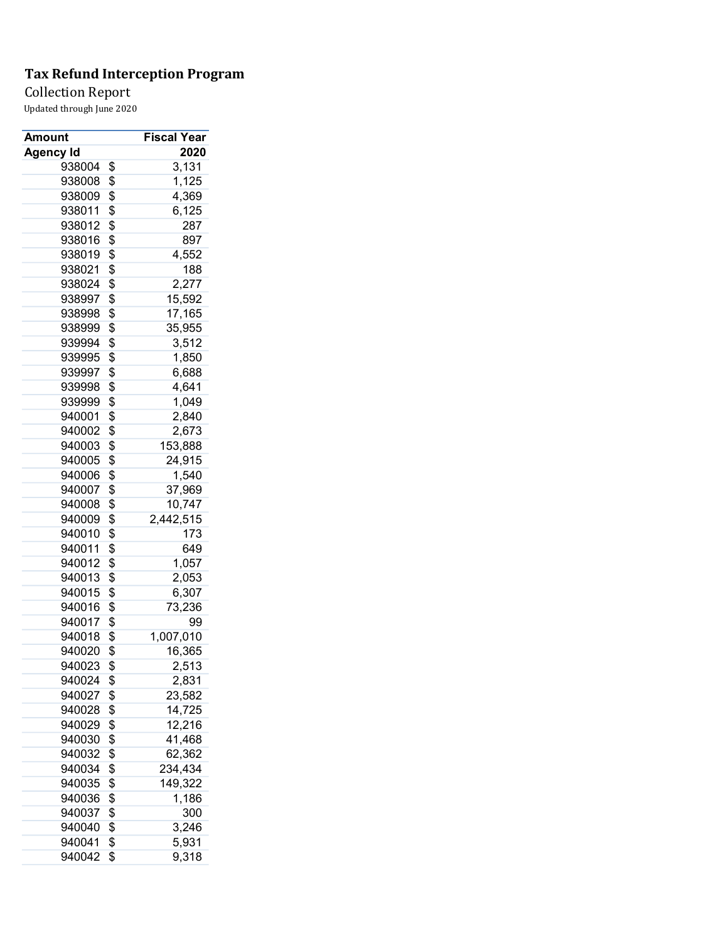Collection Report

| Amount           | <b>Fiscal Year</b> |
|------------------|--------------------|
| <b>Agency Id</b> | 2020               |
| 938004           | \$<br>3,131        |
| 938008           | \$<br>1,125        |
| 938009           | \$<br>4,369        |
| 938011           | \$<br>6,125        |
| 938012           | \$<br>287          |
| 938016           | \$<br>897          |
| 938019           | \$<br>4,552        |
| 938021           | \$<br>188          |
| 938024           | \$<br>2,277        |
| 938997           | \$<br>15,592       |
| 938998           | \$<br>17,165       |
| 938999           | \$<br>35,955       |
| 939994           | \$<br>3,512        |
| 939995           | \$<br>1,850        |
| 939997           | \$<br>6,688        |
| 939998           | \$<br>4,641        |
| 939999           | \$<br>1,049        |
| 940001           | \$<br>2,840        |
| 940002           | \$<br>2,673        |
| 940003           | \$<br>153,888      |
| 940005           | \$<br>24,915       |
| 940006           | \$<br>1,540        |
| 940007           | \$<br>37,969       |
| 940008           | \$<br>10,747       |
| 940009           | \$<br>2,442,515    |
| 940010           | \$<br>173          |
| 940011           | \$<br>649          |
| 940012           | \$<br>1,057        |
| 940013           | \$<br>2,053        |
| 940015           | \$<br>6,307        |
| 940016           | \$<br>73,236       |
| 940017           | \$<br>99           |
| 940018           | \$<br>1,007,010    |
| 940020           | \$<br>16,365       |
| 940023           | \$<br>2,513        |
| 940024           | \$<br>2,831        |
| 940027           | \$<br>23,582       |
| 940028           | \$<br>14,725       |
| 940029           | \$<br>12,216       |
| 940030           | \$<br>41,468       |
| 940032           | \$<br>62,362       |
| 940034           | \$<br>234,434      |
| 940035           | \$<br>149,322      |
| 940036           | \$<br>1,186        |
| 940037           | \$<br>300          |
| 940040           | \$<br>3,246        |
| 940041           | \$<br>5,931        |
| 940042           | \$<br>9,318        |
|                  |                    |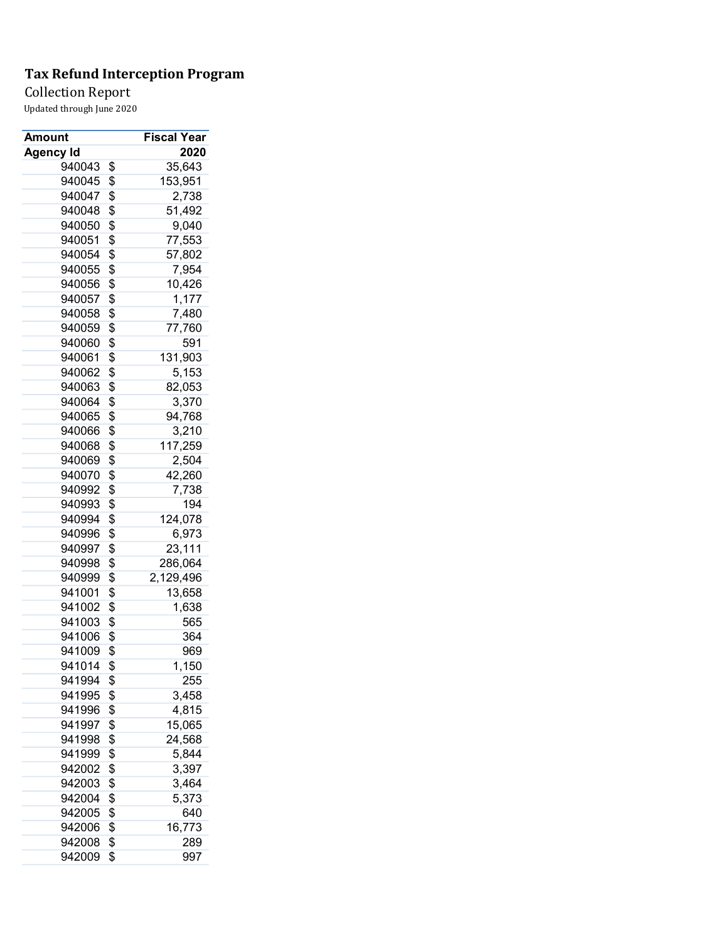### Collection Report

| Amount           | <b>Fiscal Year</b> |
|------------------|--------------------|
| <b>Agency Id</b> | 2020               |
| 940043           | \$<br>35,643       |
| 940045           | \$<br>153,951      |
| 940047           | \$<br>2,738        |
| 940048           | \$<br>51,492       |
| 940050           | \$<br>9,040        |
| 940051           | \$<br>77,553       |
| 940054           | \$<br>57,802       |
| 940055           | \$<br>7,954        |
| 940056           | \$<br>10,426       |
| 940057           | \$<br>1,177        |
| 940058           | \$<br>7,480        |
| 940059           | \$<br>77,760       |
| 940060           | \$<br>591          |
| 940061           | \$<br>131,903      |
| 940062           | \$<br>5,153        |
| 940063           | \$<br>82,053       |
| 940064           | \$<br>3,370        |
| 940065           | \$<br>94,768       |
| 940066           | \$<br>3,210        |
| 940068           | \$<br>117,259      |
| 940069           | \$<br>2,504        |
| 940070           | \$<br>42,260       |
| 940992           | \$<br>7,738        |
| 940993           | \$<br>194          |
| 940994           | \$<br>124,078      |
| 940996           | \$<br>6,973        |
| 940997           | \$<br>23,111       |
| 940998           | \$<br>286,064      |
| 940999           | \$<br>2,129,496    |
| 941001           | \$<br>13,658       |
| 941002           | \$<br>1,638        |
| 941003           | \$<br>565          |
| 941006           | \$<br>364          |
| 941009           | \$<br>969          |
| 941014           | \$<br>1,<br>150    |
| 941994           | \$<br>255          |
| 941995           | \$<br>3,458        |
| 941996           | \$<br>4,815        |
| 941997           | \$<br>15,065       |
| 941998           | \$<br>24,568       |
| 941999           | \$<br>5,844        |
| 942002           | \$<br>3,397        |
| 942003           | \$<br>3,464        |
| 942004           | \$<br>5,373        |
| 942005           | \$<br>640          |
| 942006           | \$<br>16,773       |
| 942008           | \$<br>289          |
| 942009           | \$<br>997          |
|                  |                    |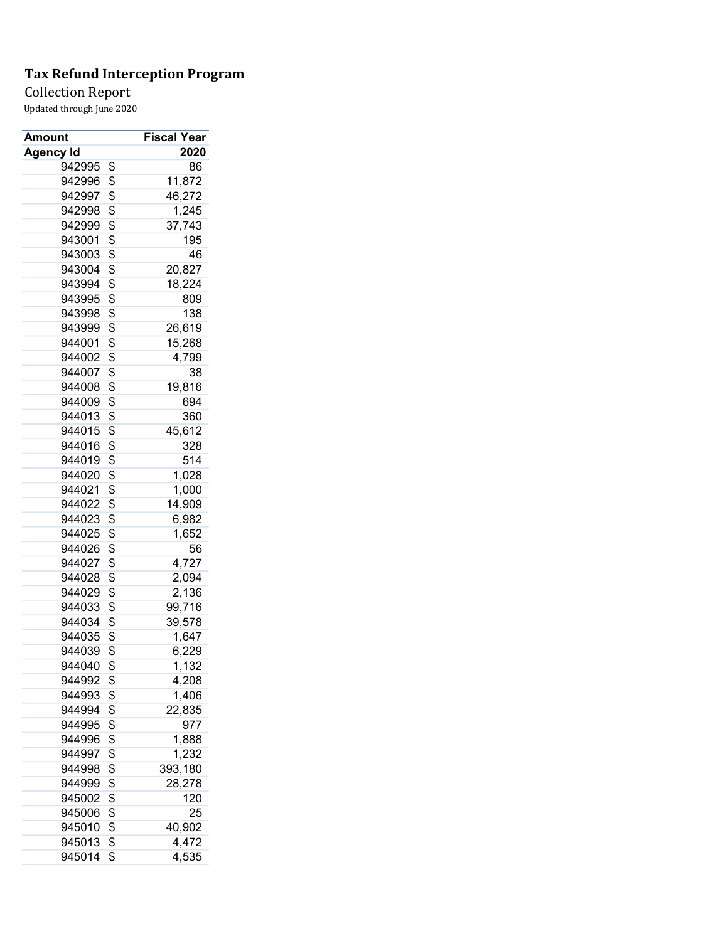Collection Report

| Amount           | <b>Fiscal Year</b> |
|------------------|--------------------|
| <b>Agency Id</b> | 2020               |
| 942995           | \$<br>86           |
| 942996           | \$<br>11,872       |
| 942997           | \$<br>46,272       |
| 942998           | \$<br>1,245        |
| 942999           | \$<br>37,743       |
| 943001           | \$<br>195          |
| 943003           | \$<br>46           |
| 943004           | \$<br>20,827       |
| 943994           | \$<br>18,224       |
| 943995           | \$<br>809          |
| 943998           | \$<br>138          |
| 943999           | \$<br>26,619       |
| 944001           | \$<br>15,268       |
| 944002           | \$<br>4,799        |
| 944007           | \$<br>38           |
| 944008           | \$<br>19,816       |
| 944009           | \$<br>694          |
| 944013           | \$<br>360          |
| 944015           | \$<br>45,612       |
| 944016           | \$<br>328          |
| 944019           | \$<br>514          |
| 944020           | \$<br>1,028        |
| 944021           | \$<br>1,000        |
| 944022           | \$<br>14,909       |
| 944023           | \$<br>6,982        |
| 944025           | \$<br>1,652        |
| 944026           | \$<br>56           |
| 944027           | \$<br>4,727        |
| 944028           | \$<br>2,094        |
| 944029           | \$<br>2,136        |
| 944033           | \$<br>99,716       |
| 944034           | \$<br>39,578       |
| 944035           | \$<br>1,647        |
| 944039           | \$<br>6,229        |
| 944040           | \$<br>1,132        |
| 944992           | \$<br>4,208        |
|                  | 1,406              |
| 944993           | \$                 |
| 944994           | \$<br>22,835       |
| 944995           | \$<br>977          |
| 944996           | \$<br>1,888        |
| 944997           | \$<br>1,232        |
| 944998           | \$<br>393,180      |
| 944999           | \$<br>28,278       |
| 945002           | \$<br>120          |
| 945006           | \$<br>25           |
| 945010           | \$<br>40,902       |
| 945013           | \$<br>4,472        |
| 945014           | \$<br>4,535        |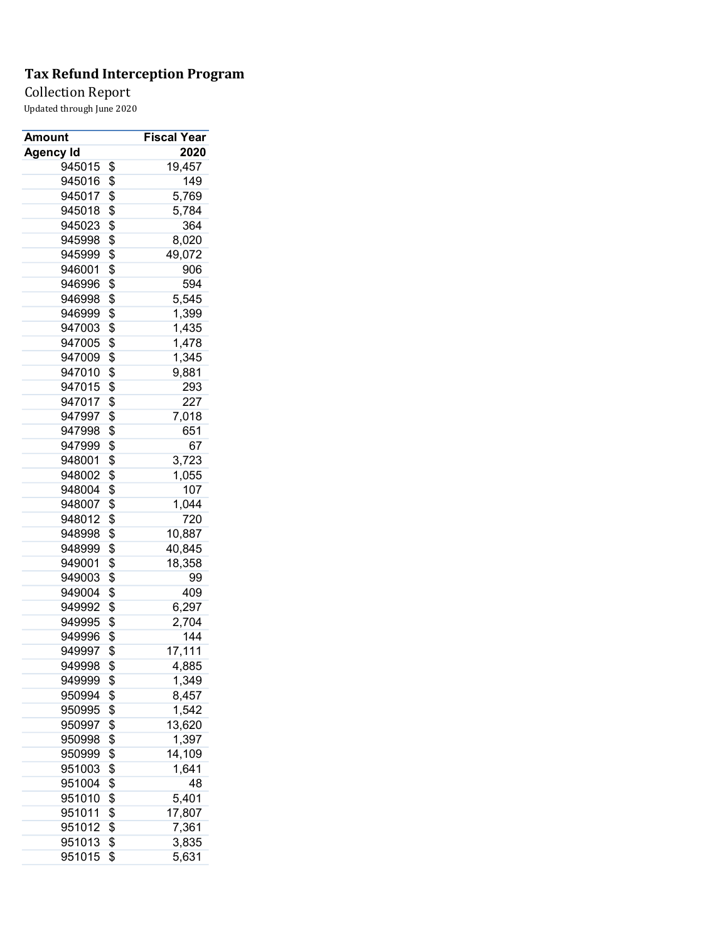Collection Report

| Amount           | <b>Fiscal Year</b> |
|------------------|--------------------|
| <b>Agency Id</b> | 2020               |
| 945015           | \$<br>19,457       |
| 945016           | \$<br>149          |
| 945017           | \$<br>5,769        |
| 945018           | \$<br>5,784        |
| 945023           | \$<br>364          |
| 945998           | \$<br>8,020        |
| 945999           | \$<br>49,072       |
| 946001           | \$<br>906          |
| 946996           | \$<br>594          |
| 946998           | \$<br>5,545        |
| 946999           | \$<br>1,399        |
| 947003           | \$<br>1,435        |
| 947005           | \$<br>1,478        |
| 947009           | \$<br>1,345        |
| 947010           | \$<br>9,881        |
| 947015           | \$<br>293          |
| 947017           | \$<br>227          |
| 947997           | \$<br>7,018        |
| 947998           | \$<br>651          |
| 947999           | \$<br>67           |
| 948001           | \$<br>3,723        |
| 948002           | \$<br>1,055        |
| 948004           | \$<br>107          |
| 948007           | \$<br>1,044        |
| 948012           | \$<br>720          |
| 948998           | \$<br>10,887       |
| 948999           | \$<br>40,845       |
| 949001           | \$<br>18,358       |
| 949003           | \$<br>99           |
| 949004           | \$<br>409          |
| 949992           | \$<br>6,297        |
| 949995           | \$<br>2,704        |
| 949996           | \$<br>144          |
| 949997           | \$<br>17,111       |
| 949998           | \$<br>4,885        |
| 949999           | \$<br>1,349        |
| 950994           | \$<br>8,457        |
| 950995           | \$<br>1,542        |
| 950997           | \$<br>13,620       |
| 950998           | \$<br>1,397        |
| 950999           | \$<br>14,109       |
| 951003           | \$<br>1,641        |
| 951004           | \$<br>48           |
| 951010           | \$<br>5,401        |
| 951011           | \$<br>17,807       |
| 951012           | \$<br>7,361        |
| 951013           | \$<br>3,835        |
| 951015           | \$<br>5,631        |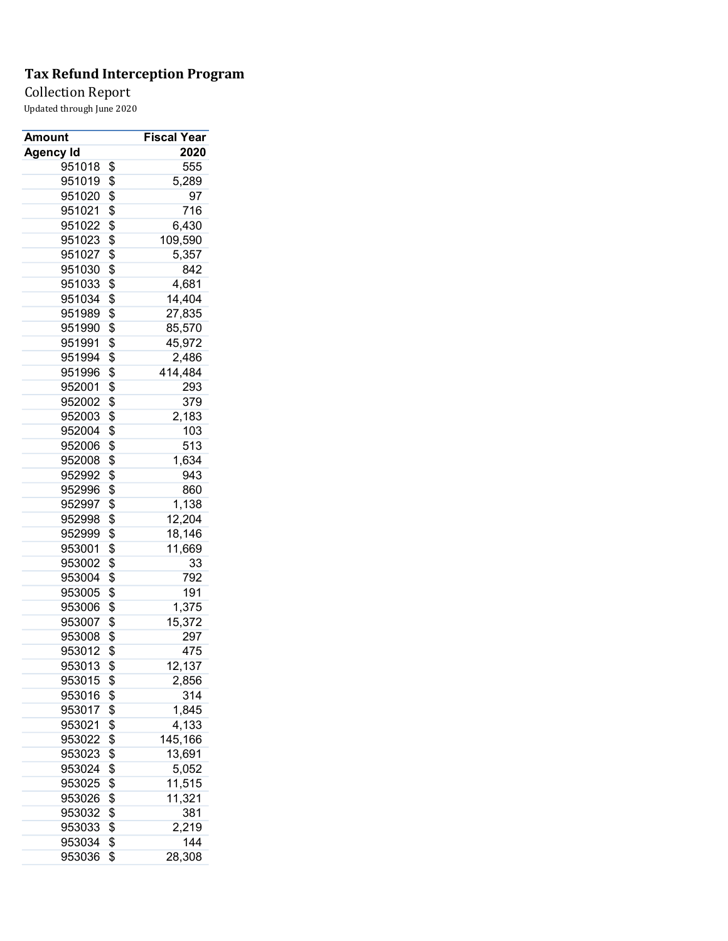Collection Report

| Amount           | Fiscal Year   |
|------------------|---------------|
| <b>Agency Id</b> | 2020          |
| 951018           | \$<br>555     |
| 951019           | \$<br>5,289   |
| 951020           | \$<br>97      |
| 951021           | \$<br>716     |
| 951022           | \$<br>6,430   |
| 951023           | \$<br>109,590 |
| 951027           | \$<br>5,357   |
| 951030           | \$<br>842     |
| 951033           | \$<br>4,681   |
| 951034           | \$<br>14,404  |
| 951989           | \$<br>27,835  |
| 951990           | \$<br>85,570  |
| 951991           | \$<br>45,972  |
| 951994           | \$<br>2,486   |
| 951996           | \$<br>414,484 |
| 952001           | \$<br>293     |
| 952002           | \$<br>379     |
| 952003           | \$<br>2,183   |
| 952004           | \$<br>103     |
| 952006           | \$<br>513     |
| 952008           | \$<br>1,634   |
| 952992           | \$<br>943     |
| 952996           | \$<br>860     |
| 952997           | \$<br>1,138   |
| 952998           | \$<br>12,204  |
| 952999           | \$<br>18,146  |
| 953001           | \$<br>11,669  |
| 953002           | \$<br>33      |
| 953004           | \$<br>792     |
| 953005           | \$<br>191     |
| 953006           | \$<br>1,375   |
| 953007           | \$<br>15,372  |
| 953008           | \$<br>297     |
| 953012           | \$<br>475     |
| 953013           | \$<br>12,137  |
| 953015           | \$<br>2,856   |
| 953016           | \$<br>314     |
| 953017           | \$<br>1,845   |
| 953021           | \$<br>4,133   |
| 953022           | \$<br>145,166 |
| 953023           | \$<br>13,691  |
| 953024           | \$<br>5,052   |
| 953025           | \$<br>11,515  |
|                  |               |
| 953026           | \$<br>11,321  |
| 953032           | \$<br>381     |
| 953033           | \$<br>2,219   |
| 953034           | \$<br>144     |
| 953036           | \$<br>28,308  |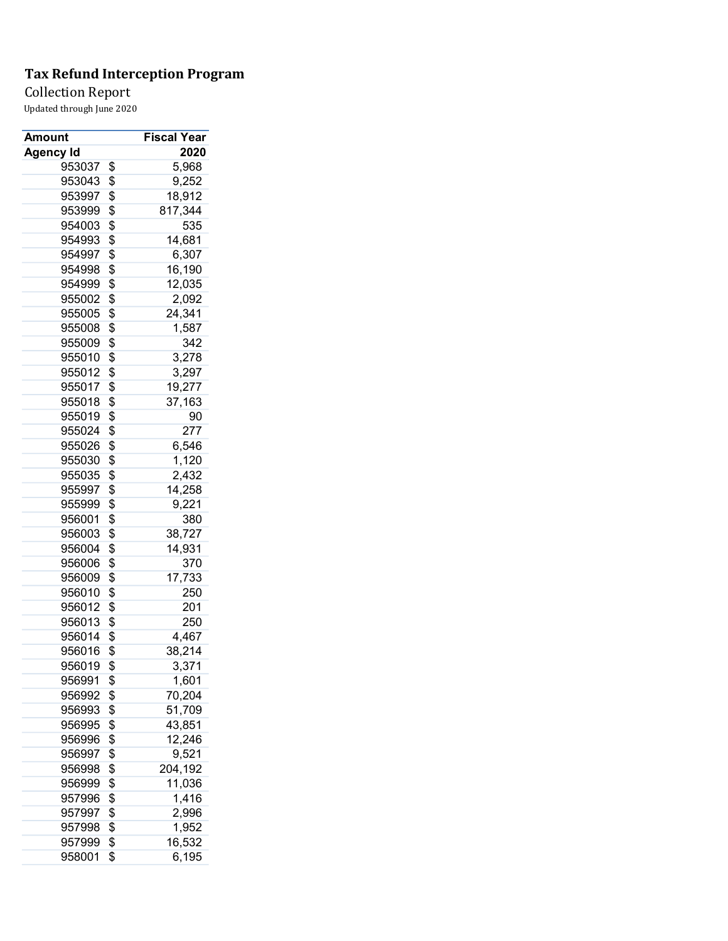Collection Report

| Amount           | Fiscal Year   |
|------------------|---------------|
| <b>Agency Id</b> | 2020          |
| 953037           | \$<br>5,968   |
| 953043           | \$<br>9,252   |
| 953997           | \$<br>18,912  |
| 953999           | \$<br>817,344 |
| 954003           | \$<br>535     |
| 954993           | \$<br>14,681  |
| 954997           | \$<br>6,307   |
| 954998           | \$<br>16,190  |
| 954999           | \$<br>12,035  |
| 955002           | \$<br>2,092   |
| 955005           | \$<br>24,341  |
| 955008           | \$<br>1,587   |
| 955009           | \$<br>342     |
| 955010           | \$<br>3,278   |
| 955012           | \$<br>3,297   |
| 955017           | \$<br>19,277  |
| 955018           | \$<br>37,163  |
| 955019           | \$<br>90      |
| 955024           | \$<br>277     |
| 955026           | \$<br>6,546   |
| 955030           | \$<br>1,120   |
| 955035           | \$<br>2,432   |
| 955997           | \$<br>14,258  |
| 955999           | \$<br>9,221   |
| 956001           | \$<br>380     |
| 956003           | \$<br>38,727  |
| 956004           | \$<br>14,931  |
| 956006           | \$<br>370     |
| 956009           | \$<br>17,733  |
| 956010           | \$<br>250     |
| 956012           | \$<br>201     |
| 956013           | \$<br>250     |
| 956014           | \$<br>4,467   |
| 956016           | \$<br>38,214  |
| 956019           | \$<br>3,371   |
| 956991           | \$<br>1,601   |
| 956992           | \$<br>70,204  |
| 956993           | \$<br>51,709  |
| 956995           | \$<br>43,851  |
| 956996           | \$<br>12,246  |
| 956997           | \$<br>9,521   |
| 956998           | \$<br>204,192 |
| 956999           | \$<br>11,036  |
| 957996           | \$<br>1,416   |
| 957997           | \$<br>2,996   |
| 957998           | \$<br>1,952   |
| 957999           | \$<br>16,532  |
| 958001           | \$<br>6,195   |
|                  |               |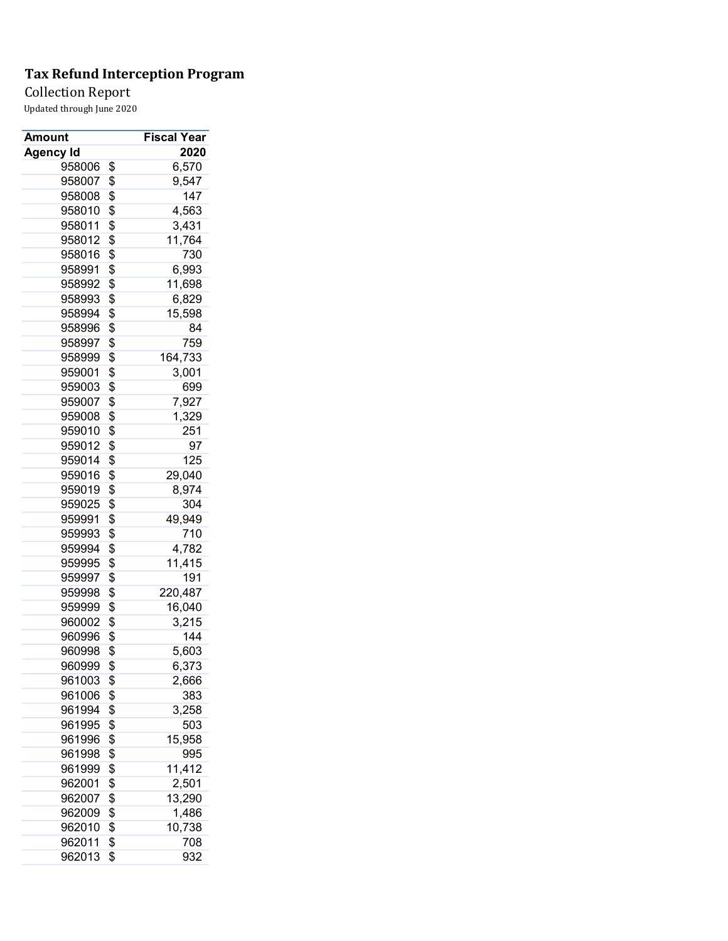Collection Report

| Amount           | Fiscal Year        |
|------------------|--------------------|
| <b>Agency Id</b> | 2020               |
| 958006           | \$<br>6,570        |
| 958007           | \$<br>9,547        |
| 958008           | \$<br>147          |
| 958010           | \$<br>4,563        |
| 958011           | \$<br>3,431        |
| 958012           | \$<br>11,764       |
| 958016           | \$<br>730          |
| 958991           | \$<br>6,993        |
| 958992           | \$<br>11,698       |
| 958993           | \$<br>6,829        |
| 958994           | \$<br>15,598       |
| 958996           | \$<br>84           |
| 958997           | \$<br>759          |
| 958999           | \$<br>164,733      |
| 959001           | \$<br>3,001        |
| 959003           | \$<br>699          |
| 959007           | \$<br>7,927        |
| 959008           | \$<br>1,329        |
| 959010           | \$<br>251          |
| 959012           | \$<br>97           |
| 959014           | \$<br>125          |
| 959016           | \$<br>29,040       |
| 959019           | \$<br>8,974        |
| 959025           | \$<br>304          |
| 959991           | \$<br>49,949       |
| 959993           | \$<br>710          |
| 959994           | \$<br>4,782        |
| 959995           | \$<br>11,415       |
| 959997           | \$<br>191          |
| 959998           | \$<br>220,487      |
| 959999           | \$<br>16,040       |
| 960002           |                    |
| 960996           | \$<br>3,215<br>144 |
|                  | \$                 |
| 960998           | \$<br>5,603        |
| 960999           | \$<br>6,373        |
| 961003           | \$<br>2,666        |
| 961006           | \$<br>383          |
| 961994           | \$<br>3,258        |
| 961995           | \$<br>503          |
| 961996           | \$<br>15,958       |
| 961998           | \$<br>995          |
| 961999           | \$<br>11,412       |
| 962001           | \$<br>2,501        |
| 962007           | \$<br>13,290       |
| 962009           | \$<br>1,486        |
| 962010           | \$<br>10,738       |
| 962011           | \$<br>708          |
| 962013           | \$<br>932          |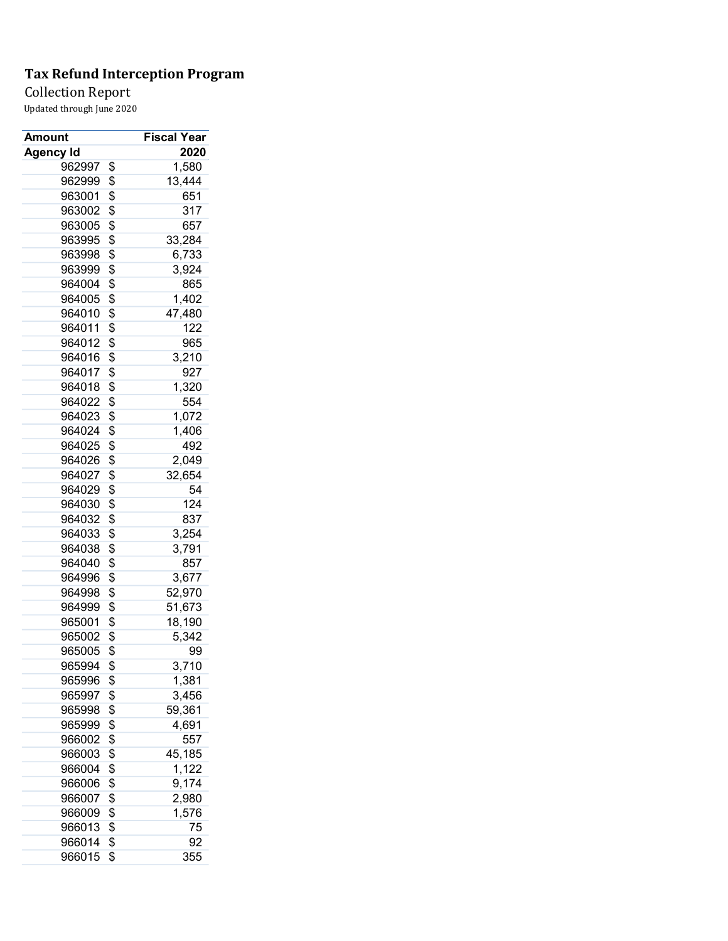### Collection Report

| Amount           | Fiscal Year  |
|------------------|--------------|
| <b>Agency Id</b> | 2020         |
| 962997           | \$<br>1,580  |
| 962999           | \$<br>13,444 |
| 963001           | \$<br>651    |
| 963002           | \$<br>317    |
| 963005           | \$<br>657    |
| 963995           | \$<br>33,284 |
| 963998           | \$<br>6,733  |
| 963999           | \$<br>3,924  |
| 964004           | \$<br>865    |
| 964005           | \$<br>1,402  |
| 964010           | \$<br>47,480 |
| 964011           | \$<br>122    |
| 964012           | \$<br>965    |
| 964016           | \$<br>3,210  |
| 964017           | \$<br>927    |
| 964018           | \$<br>1,320  |
| 964022           | \$<br>554    |
| 964023           | \$<br>1,072  |
| 964024           | \$<br>1,406  |
| 964025           | \$<br>492    |
| 964026           | \$<br>2,049  |
| 964027           | \$<br>32,654 |
| 964029           | \$<br>54     |
| 964030           | \$<br>124    |
| 964032           | \$<br>837    |
|                  | 3,254        |
| 964033           | \$           |
| 964038           | \$<br>3,791  |
| 964040           | \$<br>857    |
| 964996           | \$<br>3,677  |
| 964998           | \$<br>52,970 |
| 964999           | \$<br>51,673 |
| 965001           | \$<br>18,190 |
| 965002           | \$<br>5,342  |
| 965005           | \$<br>99     |
| 965994           | \$<br>3,710  |
| 965996           | \$<br>1,381  |
| 965997           | \$<br>3,456  |
| 965998           | \$<br>59,361 |
| 965999           | \$<br>4,691  |
| 966002           | \$<br>557    |
| 966003           | \$<br>45,185 |
| 966004           | \$<br>1,122  |
| 966006           | \$<br>9,174  |
| 966007           | \$<br>2,980  |
| 966009           | \$<br>1,576  |
| 966013           | \$<br>75     |
| 966014           | \$<br>92     |
| 966015           | \$<br>355    |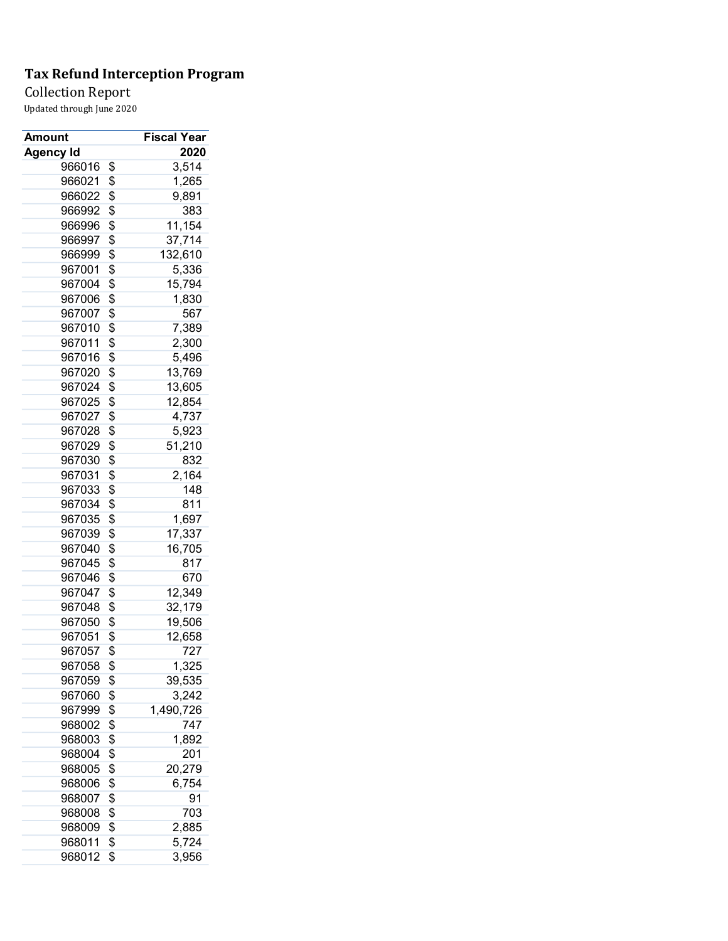Collection Report

| Amount           | <b>Fiscal Year</b> |
|------------------|--------------------|
| <b>Agency Id</b> | 2020               |
| 966016           | \$<br>3,514        |
| 966021           | \$<br>1,265        |
| 966022           | \$<br>9,891        |
| 966992           | \$<br>383          |
| 966996           | \$<br>11,154       |
| 966997           | \$<br>37,714       |
| 966999           | \$<br>132,610      |
| 967001           | \$<br>5,336        |
| 967004           | \$<br>15,794       |
| 967006           | \$<br>1,830        |
| 967007           | \$<br>567          |
| 967010           | \$<br>7,389        |
| 967011           | \$<br>2,300        |
| 967016           | \$<br>5,496        |
| 967020           | \$<br>13,769       |
| 967024           | \$<br>13,605       |
| 967025           | \$<br>12,854       |
| 967027           | \$<br>4,737        |
| 967028           | \$<br>5,923        |
| 967029           | \$<br>51,210       |
| 967030           | \$<br>832          |
| 967031           | \$<br>2,164        |
| 967033           | \$<br>148          |
| 967034           | \$<br>811          |
| 967035           | \$<br>1,697        |
| 967039           | \$<br>17,337       |
| 967040           | \$<br>16,705       |
| 967045           | \$<br>817          |
| 967046           | \$<br>670          |
| 967047           | \$<br>12,349       |
| 967048           | \$<br>32,179       |
| 967050           | \$<br>19,506       |
| 967051           | \$<br>12,658       |
| 967057           | \$<br>727          |
| 967058           | \$<br>1,325        |
| 967059           | \$<br>39,535       |
| 967060           | \$<br>3,242        |
| 967999           | \$<br>1,490,726    |
| 968002           | \$<br>747          |
| 968003           | \$<br>1,892        |
|                  |                    |
| 968004           | \$<br>201          |
| 968005           | \$<br>20,279       |
| 968006           | \$<br>6,754        |
| 968007           | \$<br>91           |
| 968008           | \$<br>703          |
| 968009           | \$<br>2,885        |
| 968011           | \$<br>5,724        |
| 968012           | \$<br>3,956        |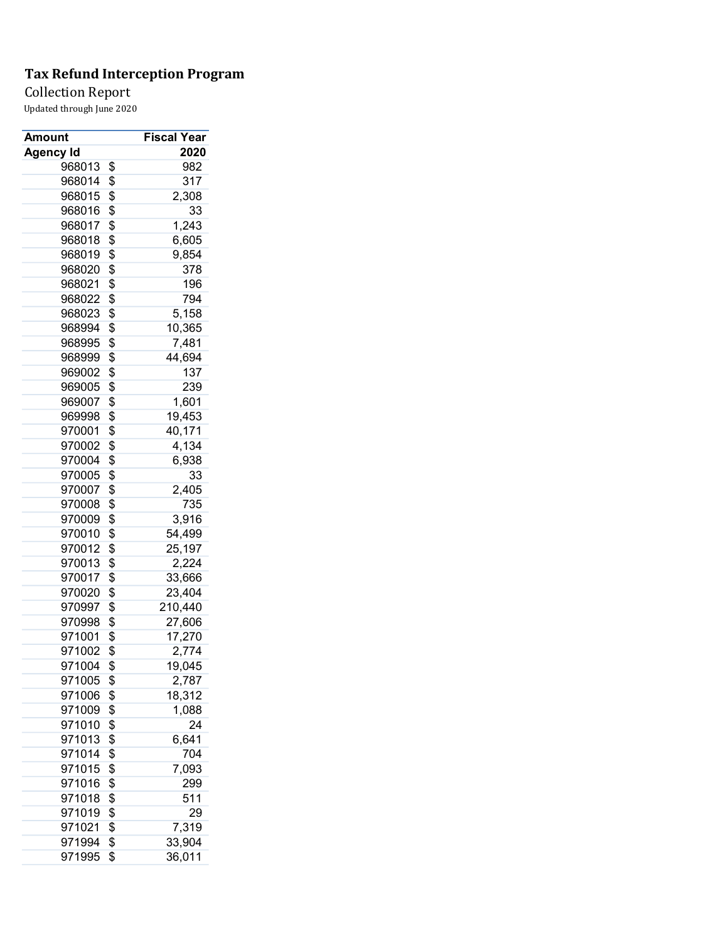Collection Report

| Amount           | <b>Fiscal Year</b> |
|------------------|--------------------|
| <b>Agency Id</b> | 2020               |
| 968013           | \$<br>982          |
| 968014           | \$<br>317          |
| 968015           | \$<br>2,308        |
| 968016           | \$<br>33           |
| 968017           | \$<br>1,243        |
| 968018           | \$<br>6,605        |
| 968019           | \$<br>9,854        |
| 968020           | \$<br>378          |
| 968021           | \$<br>196          |
| 968022           | \$<br>794          |
| 968023           | \$<br>5,158        |
| 968994           | \$<br>10,365       |
| 968995           | \$<br>7,481        |
| 968999           | \$<br>44,694       |
| 969002           | \$<br>137          |
| 969005           | \$<br>239          |
| 969007           | \$<br>1,601        |
| 969998           | \$<br>19,453       |
| 970001           | \$<br>40,171       |
| 970002           | \$<br>4,134        |
| 970004           | \$<br>6,938        |
| 970005           | \$<br>33           |
| 970007           | \$<br>2,405        |
| 970008           | \$<br>735          |
| 970009           | \$<br>3,916        |
| 970010           | \$<br>54,499       |
| 970012           | \$<br>25,197       |
| 970013           | \$<br>2,224        |
| 970017           | \$<br>33,666       |
| 970020           | \$<br>23,404       |
| 970997           | \$<br>210,440      |
| 970998           | \$<br>27,606       |
| 971001           | \$<br>17,270       |
| 971002           | \$<br>2,774        |
| 971004           | \$<br>19,045       |
| 971005           | \$<br>2,787        |
| 971006           | \$                 |
|                  | 18,312<br>1,088    |
| 971009<br>971010 | \$                 |
|                  | \$<br>24           |
| 971013           | \$<br>6,641        |
| 971014           | \$<br>704          |
| 971015           | \$<br>7,093        |
| 971016           | \$<br>299          |
| 971018           | \$<br>511          |
| 971019           | \$<br>29           |
| 971021           | \$<br>7,319        |
| 971994           | \$<br>33,904       |
| 971995           | \$<br>36,011       |